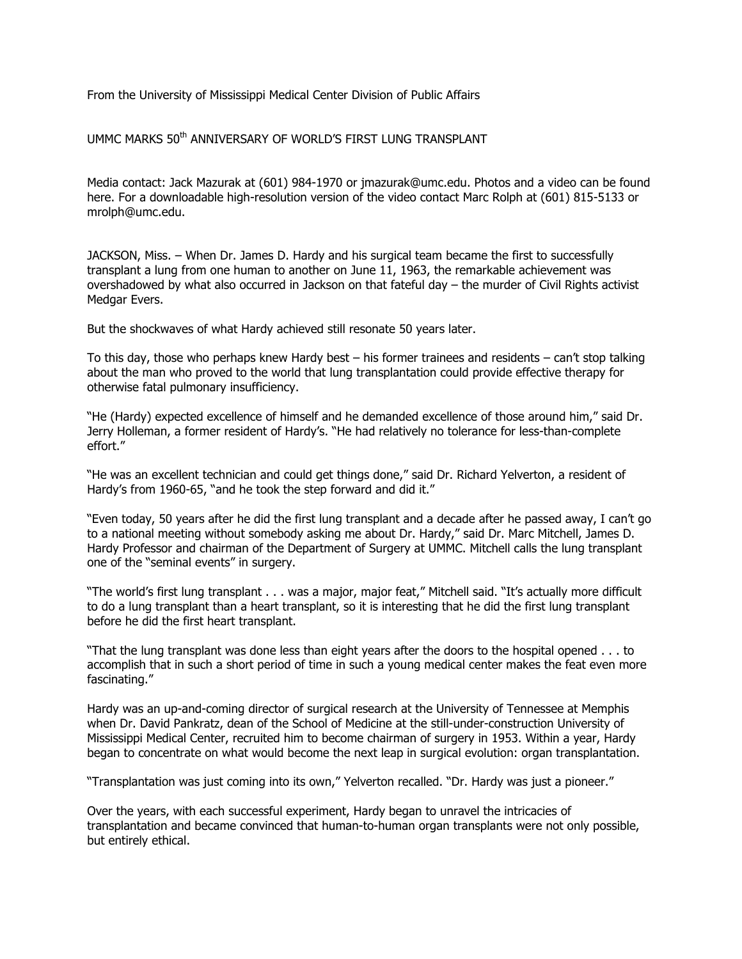From the University of Mississippi Medical Center Division of Public Affairs

UMMC MARKS 50<sup>th</sup> ANNIVERSARY OF WORLD'S FIRST LUNG TRANSPLANT

Media contact: Jack Mazurak at (601) 984-1970 or jmazurak@umc.edu. Photos and a video can be found here. For a downloadable high-resolution version of the video contact Marc Rolph at (601) 815-5133 or mrolph@umc.edu.

JACKSON, Miss. – When Dr. James D. Hardy and his surgical team became the first to successfully transplant a lung from one human to another on June 11, 1963, the remarkable achievement was overshadowed by what also occurred in Jackson on that fateful day – the murder of Civil Rights activist Medgar Evers.

But the shockwaves of what Hardy achieved still resonate 50 years later.

To this day, those who perhaps knew Hardy best – his former trainees and residents – can't stop talking about the man who proved to the world that lung transplantation could provide effective therapy for otherwise fatal pulmonary insufficiency.

"He (Hardy) expected excellence of himself and he demanded excellence of those around him," said Dr. Jerry Holleman, a former resident of Hardy's. "He had relatively no tolerance for less-than-complete effort."

"He was an excellent technician and could get things done," said Dr. Richard Yelverton, a resident of Hardy's from 1960-65, "and he took the step forward and did it."

"Even today, 50 years after he did the first lung transplant and a decade after he passed away, I can't go to a national meeting without somebody asking me about Dr. Hardy," said Dr. Marc Mitchell, James D. Hardy Professor and chairman of the Department of Surgery at UMMC. Mitchell calls the lung transplant one of the "seminal events" in surgery.

"The world's first lung transplant . . . was a major, major feat," Mitchell said. "It's actually more difficult to do a lung transplant than a heart transplant, so it is interesting that he did the first lung transplant before he did the first heart transplant.

"That the lung transplant was done less than eight years after the doors to the hospital opened . . . to accomplish that in such a short period of time in such a young medical center makes the feat even more fascinating."

Hardy was an up-and-coming director of surgical research at the University of Tennessee at Memphis when Dr. David Pankratz, dean of the School of Medicine at the still-under-construction University of Mississippi Medical Center, recruited him to become chairman of surgery in 1953. Within a year, Hardy began to concentrate on what would become the next leap in surgical evolution: organ transplantation.

"Transplantation was just coming into its own," Yelverton recalled. "Dr. Hardy was just a pioneer."

Over the years, with each successful experiment, Hardy began to unravel the intricacies of transplantation and became convinced that human-to-human organ transplants were not only possible, but entirely ethical.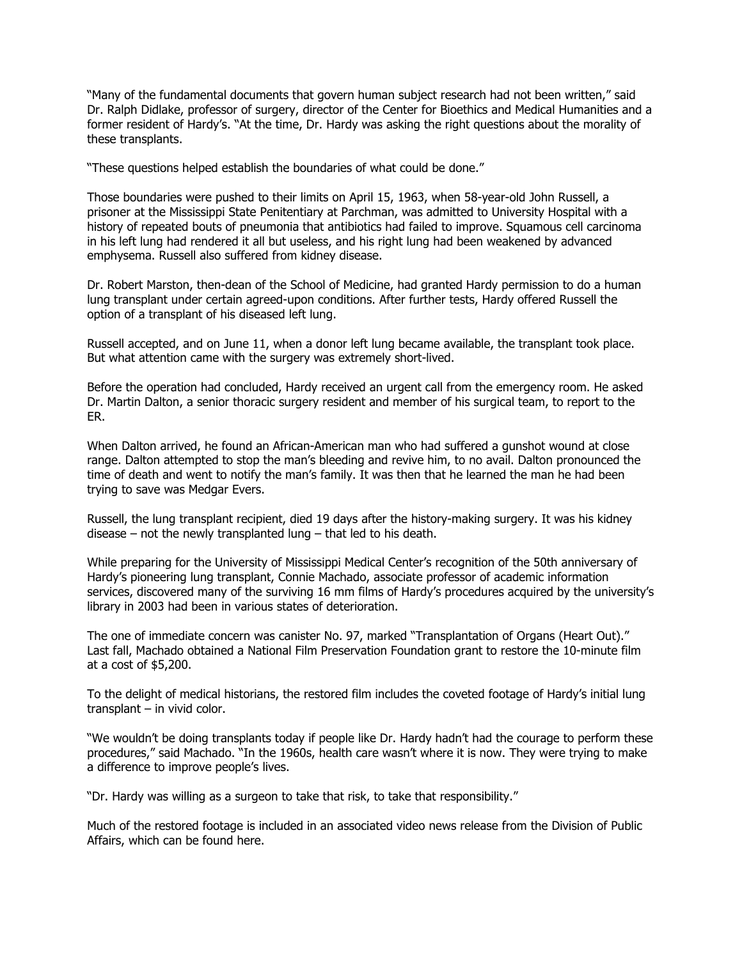"Many of the fundamental documents that govern human subject research had not been written," said Dr. Ralph Didlake, professor of surgery, director of the Center for Bioethics and Medical Humanities and a former resident of Hardy's. "At the time, Dr. Hardy was asking the right questions about the morality of these transplants.

"These questions helped establish the boundaries of what could be done."

Those boundaries were pushed to their limits on April 15, 1963, when 58-year-old John Russell, a prisoner at the Mississippi State Penitentiary at Parchman, was admitted to University Hospital with a history of repeated bouts of pneumonia that antibiotics had failed to improve. Squamous cell carcinoma in his left lung had rendered it all but useless, and his right lung had been weakened by advanced emphysema. Russell also suffered from kidney disease.

Dr. Robert Marston, then-dean of the School of Medicine, had granted Hardy permission to do a human lung transplant under certain agreed-upon conditions. After further tests, Hardy offered Russell the option of a transplant of his diseased left lung.

Russell accepted, and on June 11, when a donor left lung became available, the transplant took place. But what attention came with the surgery was extremely short-lived.

Before the operation had concluded, Hardy received an urgent call from the emergency room. He asked Dr. Martin Dalton, a senior thoracic surgery resident and member of his surgical team, to report to the ER.

When Dalton arrived, he found an African-American man who had suffered a gunshot wound at close range. Dalton attempted to stop the man's bleeding and revive him, to no avail. Dalton pronounced the time of death and went to notify the man's family. It was then that he learned the man he had been trying to save was Medgar Evers.

Russell, the lung transplant recipient, died 19 days after the history-making surgery. It was his kidney disease – not the newly transplanted lung – that led to his death.

While preparing for the University of Mississippi Medical Center's recognition of the 50th anniversary of Hardy's pioneering lung transplant, Connie Machado, associate professor of academic information services, discovered many of the surviving 16 mm films of Hardy's procedures acquired by the university's library in 2003 had been in various states of deterioration.

The one of immediate concern was canister No. 97, marked "Transplantation of Organs (Heart Out)." Last fall, Machado obtained a National Film Preservation Foundation grant to restore the 10-minute film at a cost of \$5,200.

To the delight of medical historians, the restored film includes the coveted footage of Hardy's initial lung transplant – in vivid color.

"We wouldn't be doing transplants today if people like Dr. Hardy hadn't had the courage to perform these procedures," said Machado. "In the 1960s, health care wasn't where it is now. They were trying to make a difference to improve people's lives.

"Dr. Hardy was willing as a surgeon to take that risk, to take that responsibility."

Much of the restored footage is included in an associated video news release from the Division of Public Affairs, which can be found here.